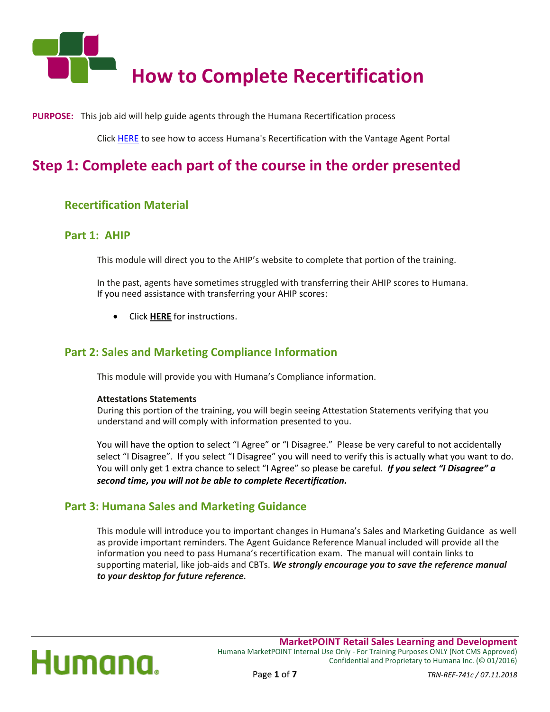

**PURPOSE:** This job aid will help guide agents through the Humana Recertification process

Click [HERE](#page-5-0) to see how to access Humana's Recertification with the Vantage Agent Portal

### **Step 1: Complete each part of the course in the order presented**

### **Recertification Material**

### **Part 1: AHIP**

This module will direct you to the AHIP's website to complete that portion of the training.

In the past, agents have sometimes struggled with transferring their AHIP scores to Humana. If you need assistance with transferring your AHIP scores:

Click **[HERE](http://goo.gl/hwhXN3)** for instructions.

### **Part 2: Sales and Marketing Compliance Information**

This module will provide you with Humana's Compliance information.

#### **Attestations Statements**

During this portion of the training, you will begin seeing Attestation Statements verifying that you understand and will comply with information presented to you.

You will have the option to select "I Agree" or "I Disagree." Please be very careful to not accidentally select "I Disagree". If you select "I Disagree" you will need to verify this is actually what you want to do. You will only get 1 extra chance to select "I Agree" so please be careful. *If you select "I Disagree" a second time, you will not be able to complete Recertification.*

### **Part 3: Humana Sales and Marketing Guidance**

This module will introduce you to important changes in Humana's Sales and Marketing Guidance as well as provide important reminders. The Agent Guidance Reference Manual included will provide all the information you need to pass Humana's recertification exam. The manual will contain links to supporting material, like job-aids and CBTs. *We strongly encourage you to save the reference manual to your desktop for future reference.* 

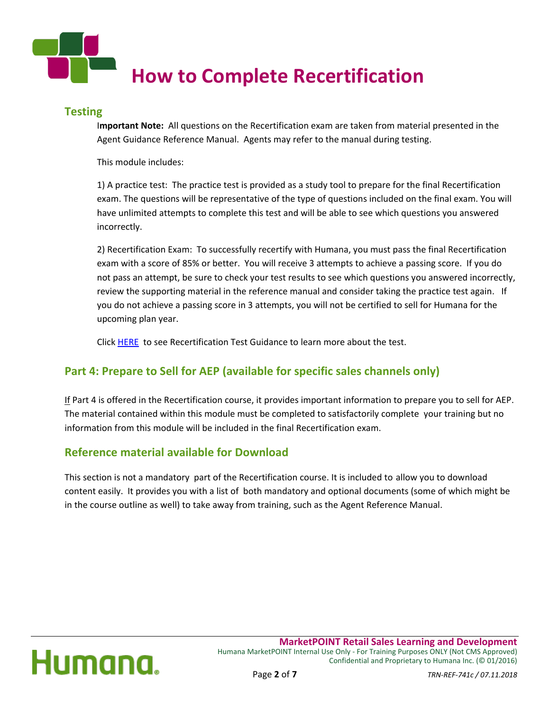

### **Testing**

I**mportant Note:** All questions on the Recertification exam are taken from material presented in the Agent Guidance Reference Manual. Agents may refer to the manual during testing.

This module includes:

1) A practice test: The practice test is provided as a study tool to prepare for the final Recertification exam. The questions will be representative of the type of questions included on the final exam. You will have unlimited attempts to complete this test and will be able to see which questions you answered incorrectly.

2) Recertification Exam: To successfully recertify with Humana, you must pass the final Recertification exam with a score of 85% or better. You will receive 3 attempts to achieve a passing score. If you do not pass an attempt, be sure to check your test results to see which questions you answered incorrectly, review the supporting material in the reference manual and consider taking the practice test again. If you do not achieve a passing score in 3 attempts, you will not be certified to sell for Humana for the upcoming plan year.

Click [HERE](#page-4-0) to see Recertification Test Guidance to learn more about the test.

### **Part 4: Prepare to Sell for AEP (available for specific sales channels only)**

If Part 4 is offered in the Recertification course, it provides important information to prepare you to sell for AEP. The material contained within this module must be completed to satisfactorily complete your training but no information from this module will be included in the final Recertification exam.

### **Reference material available for Download**

This section is not a mandatory part of the Recertification course. It is included to allow you to download content easily. It provides you with a list of both mandatory and optional documents (some of which might be in the course outline as well) to take away from training, such as the Agent Reference Manual.

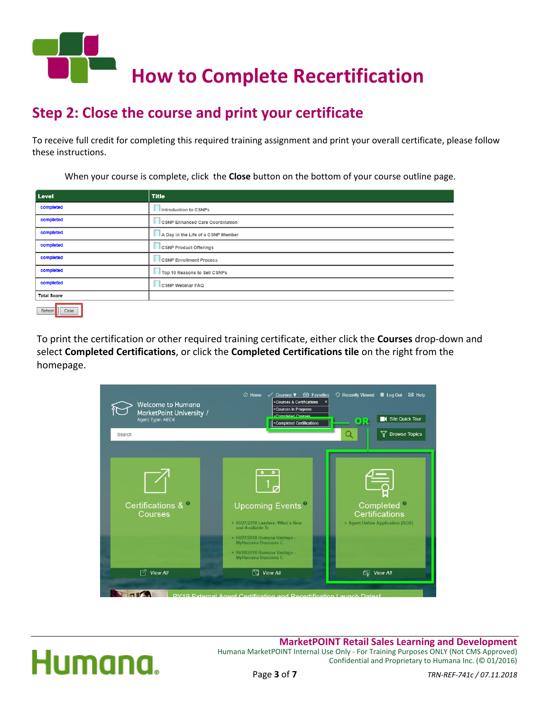

### **Step 2: Close the course and print your certificate**

To receive full credit for completing this required training assignment and print your overall certificate, please follow these instructions.

When your course is complete, click the **Close** button on the bottom of your course outline page.

| Level              | <b>Title</b>                       |  |  |  |
|--------------------|------------------------------------|--|--|--|
| completed          | Introduction to CSNPs              |  |  |  |
| completed          | CSNP Enhanced Care Coordination    |  |  |  |
| completed          | A Day in the Life of a CSNP Member |  |  |  |
| completed          | CSNP Product Offerings             |  |  |  |
| completed          | <b>CSNP Enrollment Process</b>     |  |  |  |
| completed          | Top 10 Reasons to Sell CSNPs       |  |  |  |
| completed          | <b>CSNP Webinar FAQ</b>            |  |  |  |
| <b>Total Score</b> |                                    |  |  |  |
| Refresh<br>Close   |                                    |  |  |  |

To print the certification or other required training certificate, either click the **Courses** drop-down and select **Completed Certifications**, or click the **Completed Certifications tile** on the right from the homepage.





**MarketPOINT Retail Sales Learning and Development** Humana MarketPOINT Internal Use Only - For Training Purposes ONLY (Not CMS Approved) Confidential and Proprietary to Humana Inc. (© 01/2016)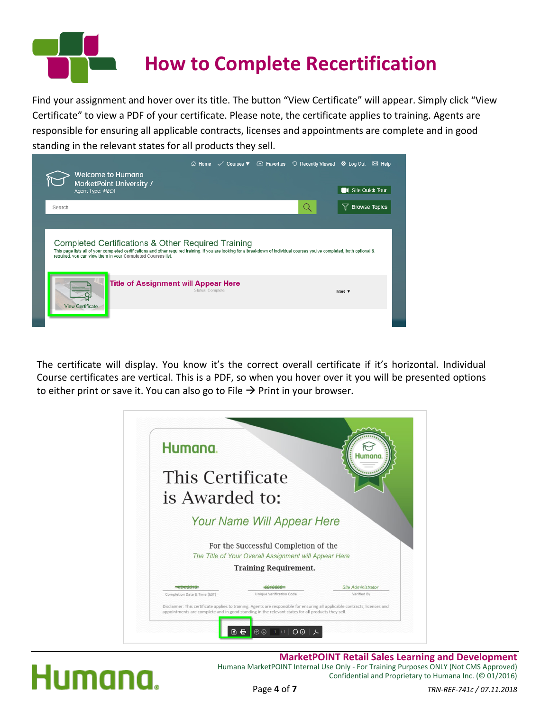

Find your assignment and hover over its title. The button "View Certificate" will appear. Simply click "View Certificate" to view a PDF of your certificate. Please note, the certificate applies to training. Agents are responsible for ensuring all applicable contracts, licenses and appointments are complete and in good standing in the relevant states for all products they sell.



The certificate will display. You know it's the correct overall certificate if it's horizontal. Individual Course certificates are vertical. This is a PDF, so when you hover over it you will be presented options to either print or save it. You can also go to File  $\rightarrow$  Print in your browser.



# Humana.

**MarketPOINT Retail Sales Learning and Development** Humana MarketPOINT Internal Use Only - For Training Purposes ONLY (Not CMS Approved) Confidential and Proprietary to Humana Inc. (© 01/2016)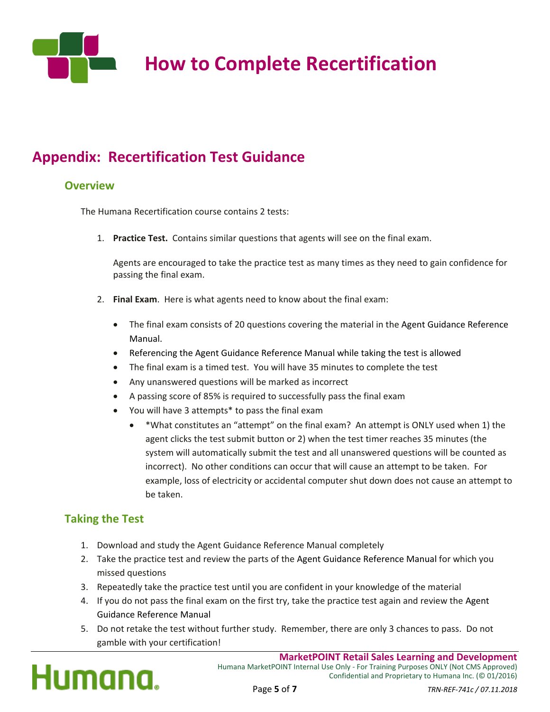

## **How to Complete Recertification**

### <span id="page-4-0"></span>**Appendix: Recertification Test Guidance**

### **Overview**

The Humana Recertification course contains 2 tests:

1. **Practice Test.** Contains similar questions that agents will see on the final exam.

Agents are encouraged to take the practice test as many times as they need to gain confidence for passing the final exam.

- 2. **Final Exam**. Here is what agents need to know about the final exam:
	- The final exam consists of 20 questions covering the material in the Agent Guidance Reference Manual.
	- Referencing the Agent Guidance Reference Manual while taking the test is allowed
	- The final exam is a timed test. You will have 35 minutes to complete the test
	- Any unanswered questions will be marked as incorrect
	- A passing score of 85% is required to successfully pass the final exam
	- You will have 3 attempts\* to pass the final exam
		- \*What constitutes an "attempt" on the final exam? An attempt is ONLY used when 1) the agent clicks the test submit button or 2) when the test timer reaches 35 minutes (the system will automatically submit the test and all unanswered questions will be counted as incorrect). No other conditions can occur that will cause an attempt to be taken. For example, loss of electricity or accidental computer shut down does not cause an attempt to be taken.

### **Taking the Test**

- 1. Download and study the Agent Guidance Reference Manual completely
- 2. Take the practice test and review the parts of the Agent Guidance Reference Manual for which you missed questions
- 3. Repeatedly take the practice test until you are confident in your knowledge of the material
- 4. If you do not pass the final exam on the first try, take the practice test again and review the Agent Guidance Reference Manual
- 5. Do not retake the test without further study. Remember, there are only 3 chances to pass. Do not gamble with your certification!

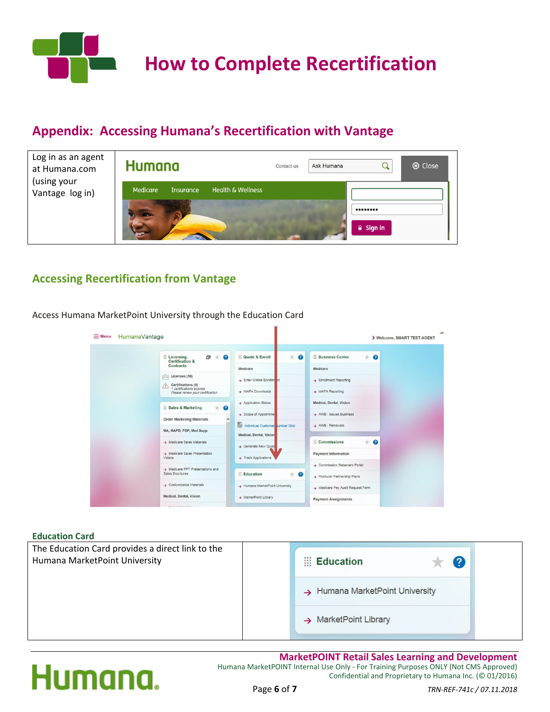

### <span id="page-5-0"></span>**Appendix: Accessing Humana's Recertification with Vantage**

| Log in as an agent<br>at Humana.com<br>(using your<br>Vantage log in) | <b>Humana</b>                |                              | Contact us | Ask Humana |                     | ⊗ Close |
|-----------------------------------------------------------------------|------------------------------|------------------------------|------------|------------|---------------------|---------|
|                                                                       | Medicare<br><b>Insurance</b> | <b>Health &amp; Wellness</b> |            |            |                     |         |
|                                                                       |                              |                              |            |            | $\triangle$ Sign in |         |

### **Accessing Recertification from Vantage**

E Menu HumanaVantage > Welcome, SMART TEST AGENT **Exercise Exercises**<br>Certification &<br>Contracts  $F + Q$ Quote & Enroll  $*$  0 **Business Center**  $*$  0 Medicare Medicare  $\Box$  Licenses (56) > Enrollment Reporting  $\rightarrow$  Enter Online Enro Certifications (9)<br>
1 certifications expired<br>
Please renew your certification MAPA Downloads > MAPA Reporting Application Status Medical, Dental, Vision Sales & Marketing  $+$   $\alpha$ AWB - Issued Business  $\rightarrow$  Scope of Appoints **Order Marketing Materials ED** Individual Custo  $\rightarrow$  AWB - Renewals MA, MAPD, PDP, Med Supp dical, Dental, Visio Medicare Sales Materials Commissions  $*$  0 Generate New Q  $\rightarrow$  Medicare Sales Present Payment Information  $\rightarrow$  Track Applicatio > Commission Statement Portal > Medicare PPT Presentations and<br>Sales Brochures **Education**  $\pm$  0  $\rightarrow$  Producer Partnership Plans > Customizable Materials > Humana MarketPoint University > Medicare Pay Audit Request Form Medical, Dental, Vision > MarketPoint Library **Payment Assignments** 

#### Access Humana MarketPoint University through the Education Card

#### **Education Card**



#### **MarketPOINT Retail Sales Learning and Development** Humana MarketPOINT Internal Use Only - For Training Purposes ONLY (Not CMS Approved) Confidential and Proprietary to Humana Inc. (© 01/2016)

# Humana.